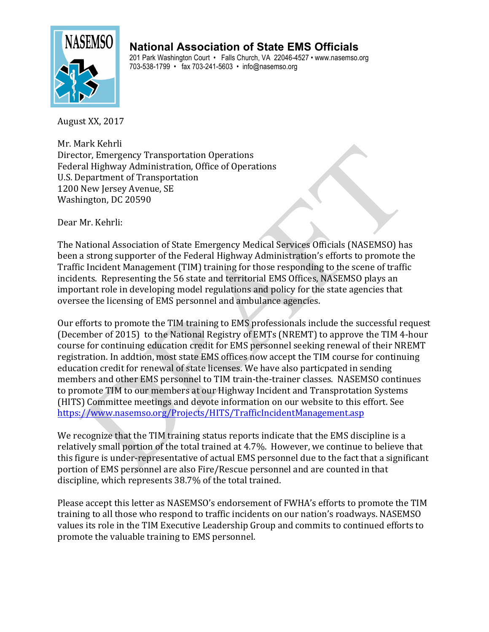

**National Association of State EMS Officials**

201 Park Washington Court • Falls Church, VA 22046-4527 • www.nasemso.org 703-538-1799 • fax 703-241-5603 • info@nasemso.org

August XX, 2017

Mr. Mark Kehrli Director, Emergency Transportation Operations Federal Highway Administration, Office of Operations U.S. Department of Transportation 1200 New Jersey Avenue, SE Washington, DC 20590

Dear Mr. Kehrli:

The National Association of State Emergency Medical Services Officials (NASEMSO) has been a strong supporter of the Federal Highway Administration's efforts to promote the Traffic Incident Management (TIM) training for those responding to the scene of traffic incidents. Representing the 56 state and territorial EMS Offices, NASEMSO plays an important role in developing model regulations and policy for the state agencies that oversee the licensing of EMS personnel and ambulance agencies.

Our efforts to promote the TIM training to EMS professionals include the successful request (December of 2015) to the National Registry of EMTs (NREMT) to approve the TIM 4-hour course for continuing education credit for EMS personnel seeking renewal of their NREMT registration. In addtion, most state EMS offices now accept the TIM course for continuing education credit for renewal of state licenses. We have also particpated in sending members and other EMS personnel to TIM train-the-trainer classes. NASEMSO continues to promote TIM to our members at our Highway Incident and Transprotation Systems (HITS) Committee meetings and devote information on our website to this effort. See <https://www.nasemso.org/Projects/HITS/TrafficIncidentManagement.asp>

We recognize that the TIM training status reports indicate that the EMS discipline is a relatively small portion of the total trained at 4.7%. However, we continue to believe that this figure is under-representative of actual EMS personnel due to the fact that a significant portion of EMS personnel are also Fire/Rescue personnel and are counted in that discipline, which represents 38.7% of the total trained.

Please accept this letter as NASEMSO's endorsement of FWHA's efforts to promote the TIM training to all those who respond to traffic incidents on our nation's roadways. NASEMSO values its role in the TIM Executive Leadership Group and commits to continued efforts to promote the valuable training to EMS personnel.